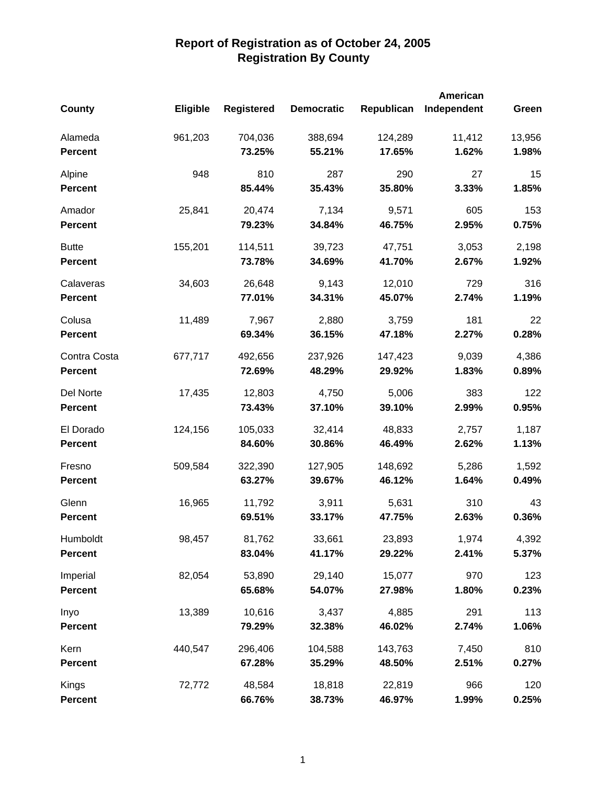|                |          |                   |                   |            | <b>American</b> |        |
|----------------|----------|-------------------|-------------------|------------|-----------------|--------|
| <b>County</b>  | Eligible | <b>Registered</b> | <b>Democratic</b> | Republican | Independent     | Green  |
| Alameda        | 961,203  | 704,036           | 388,694           | 124,289    | 11,412          | 13,956 |
| <b>Percent</b> |          | 73.25%            | 55.21%            | 17.65%     | 1.62%           | 1.98%  |
| Alpine         | 948      | 810               | 287               | 290        | 27              | 15     |
| <b>Percent</b> |          | 85.44%            | 35.43%            | 35.80%     | 3.33%           | 1.85%  |
| Amador         | 25,841   | 20,474            | 7,134             | 9,571      | 605             | 153    |
| <b>Percent</b> |          | 79.23%            | 34.84%            | 46.75%     | 2.95%           | 0.75%  |
| <b>Butte</b>   | 155,201  | 114,511           | 39,723            | 47,751     | 3,053           | 2,198  |
| <b>Percent</b> |          | 73.78%            | 34.69%            | 41.70%     | 2.67%           | 1.92%  |
| Calaveras      | 34,603   | 26,648            | 9,143             | 12,010     | 729             | 316    |
| <b>Percent</b> |          | 77.01%            | 34.31%            | 45.07%     | 2.74%           | 1.19%  |
| Colusa         | 11,489   | 7,967             | 2,880             | 3,759      | 181             | 22     |
| <b>Percent</b> |          | 69.34%            | 36.15%            | 47.18%     | 2.27%           | 0.28%  |
| Contra Costa   | 677,717  | 492,656           | 237,926           | 147,423    | 9,039           | 4,386  |
| <b>Percent</b> |          | 72.69%            | 48.29%            | 29.92%     | 1.83%           | 0.89%  |
| Del Norte      | 17,435   | 12,803            | 4,750             | 5,006      | 383             | 122    |
| <b>Percent</b> |          | 73.43%            | 37.10%            | 39.10%     | 2.99%           | 0.95%  |
| El Dorado      | 124,156  | 105,033           | 32,414            | 48,833     | 2,757           | 1,187  |
| <b>Percent</b> |          | 84.60%            | 30.86%            | 46.49%     | 2.62%           | 1.13%  |
| Fresno         | 509,584  | 322,390           | 127,905           | 148,692    | 5,286           | 1,592  |
| <b>Percent</b> |          | 63.27%            | 39.67%            | 46.12%     | 1.64%           | 0.49%  |
| Glenn          | 16,965   | 11,792            | 3,911             | 5,631      | 310             | 43     |
| <b>Percent</b> |          | 69.51%            | 33.17%            | 47.75%     | 2.63%           | 0.36%  |
| Humboldt       | 98,457   | 81,762            | 33,661            | 23,893     | 1,974           | 4,392  |
| <b>Percent</b> |          | 83.04%            | 41.17%            | 29.22%     | 2.41%           | 5.37%  |
| Imperial       | 82,054   | 53,890            | 29,140            | 15,077     | 970             | 123    |
| <b>Percent</b> |          | 65.68%            | 54.07%            | 27.98%     | 1.80%           | 0.23%  |
| Inyo           | 13,389   | 10,616            | 3,437             | 4,885      | 291             | 113    |
| <b>Percent</b> |          | 79.29%            | 32.38%            | 46.02%     | 2.74%           | 1.06%  |
| Kern           | 440,547  | 296,406           | 104,588           | 143,763    | 7,450           | 810    |
| <b>Percent</b> |          | 67.28%            | 35.29%            | 48.50%     | 2.51%           | 0.27%  |
| Kings          | 72,772   | 48,584            | 18,818            | 22,819     | 966             | 120    |
| <b>Percent</b> |          | 66.76%            | 38.73%            | 46.97%     | 1.99%           | 0.25%  |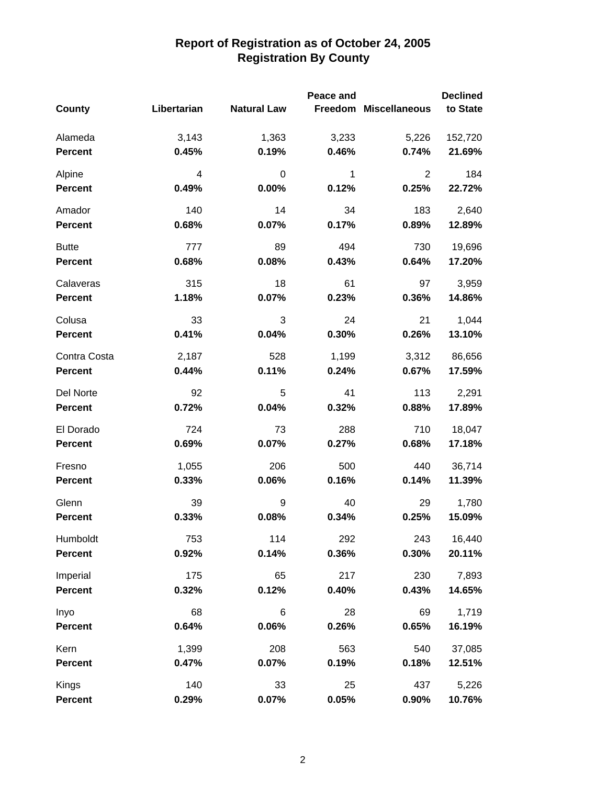|                |             |                    | Peace and |                       | <b>Declined</b> |
|----------------|-------------|--------------------|-----------|-----------------------|-----------------|
| County         | Libertarian | <b>Natural Law</b> |           | Freedom Miscellaneous | to State        |
| Alameda        | 3,143       | 1,363              | 3,233     | 5,226                 | 152,720         |
| <b>Percent</b> | 0.45%       | 0.19%              | 0.46%     | 0.74%                 | 21.69%          |
| Alpine         | 4           | 0                  | 1         | 2                     | 184             |
| <b>Percent</b> | 0.49%       | 0.00%              | 0.12%     | 0.25%                 | 22.72%          |
| Amador         | 140         | 14                 | 34        | 183                   | 2,640           |
| <b>Percent</b> | 0.68%       | 0.07%              | 0.17%     | 0.89%                 | 12.89%          |
| <b>Butte</b>   | 777         | 89                 | 494       | 730                   | 19,696          |
| <b>Percent</b> | 0.68%       | 0.08%              | 0.43%     | 0.64%                 | 17.20%          |
| Calaveras      | 315         | 18                 | 61        | 97                    | 3,959           |
| <b>Percent</b> | 1.18%       | 0.07%              | 0.23%     | 0.36%                 | 14.86%          |
| Colusa         | 33          | 3                  | 24        | 21                    | 1,044           |
| <b>Percent</b> | 0.41%       | 0.04%              | 0.30%     | 0.26%                 | 13.10%          |
| Contra Costa   | 2,187       | 528                | 1,199     | 3,312                 | 86,656          |
| Percent        | 0.44%       | 0.11%              | 0.24%     | 0.67%                 | 17.59%          |
| Del Norte      | 92          | 5                  | 41        | 113                   | 2,291           |
| <b>Percent</b> | 0.72%       | 0.04%              | 0.32%     | 0.88%                 | 17.89%          |
| El Dorado      | 724         | 73                 | 288       | 710                   | 18,047          |
| <b>Percent</b> | 0.69%       | 0.07%              | 0.27%     | 0.68%                 | 17.18%          |
| Fresno         | 1,055       | 206                | 500       | 440                   | 36,714          |
| <b>Percent</b> | 0.33%       | 0.06%              | 0.16%     | 0.14%                 | 11.39%          |
| Glenn          | 39          | 9                  | 40        | 29                    | 1,780           |
| <b>Percent</b> | 0.33%       | 0.08%              | 0.34%     | 0.25%                 | 15.09%          |
| Humboldt       | 753         | 114                | 292       | 243                   | 16,440          |
| <b>Percent</b> | 0.92%       | 0.14%              | 0.36%     | 0.30%                 | 20.11%          |
| Imperial       | 175         | 65                 | 217       | 230                   | 7,893           |
| <b>Percent</b> | 0.32%       | 0.12%              | 0.40%     | 0.43%                 | 14.65%          |
| Inyo           | 68          | 6                  | 28        | 69                    | 1,719           |
| <b>Percent</b> | 0.64%       | 0.06%              | 0.26%     | 0.65%                 | 16.19%          |
| Kern           | 1,399       | 208                | 563       | 540                   | 37,085          |
| <b>Percent</b> | 0.47%       | 0.07%              | 0.19%     | 0.18%                 | 12.51%          |
| Kings          | 140         | 33                 | 25        | 437                   | 5,226           |
| <b>Percent</b> | 0.29%       | 0.07%              | 0.05%     | 0.90%                 | 10.76%          |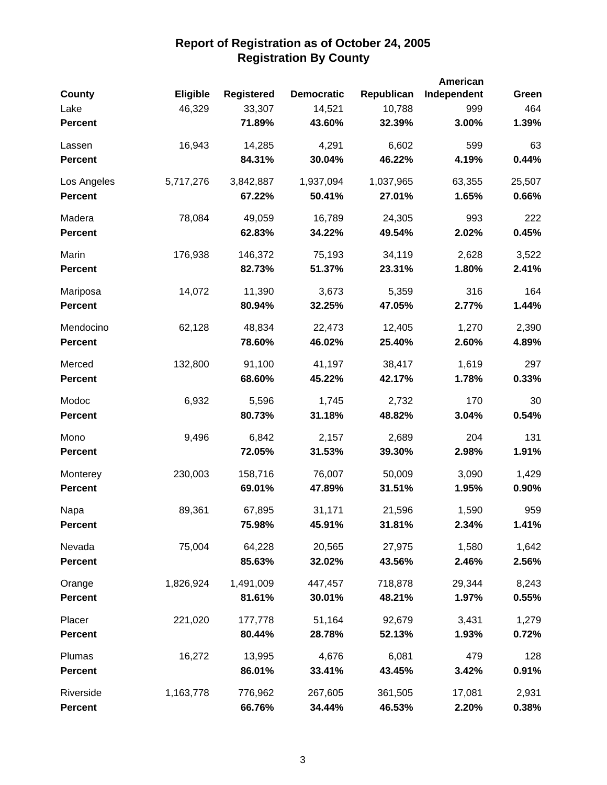| <b>County</b>  | <b>Eligible</b> | <b>Registered</b> | <b>Democratic</b> | Republican | American<br>Independent | Green  |
|----------------|-----------------|-------------------|-------------------|------------|-------------------------|--------|
| Lake           | 46,329          | 33,307            | 14,521            | 10,788     | 999                     | 464    |
| <b>Percent</b> |                 | 71.89%            | 43.60%            | 32.39%     | 3.00%                   | 1.39%  |
| Lassen         | 16,943          | 14,285            | 4,291             | 6,602      | 599                     | 63     |
| <b>Percent</b> |                 | 84.31%            | 30.04%            | 46.22%     | 4.19%                   | 0.44%  |
| Los Angeles    | 5,717,276       | 3,842,887         | 1,937,094         | 1,037,965  | 63,355                  | 25,507 |
| <b>Percent</b> |                 | 67.22%            | 50.41%            | 27.01%     | 1.65%                   | 0.66%  |
| Madera         | 78,084          | 49,059            | 16,789            | 24,305     | 993                     | 222    |
| <b>Percent</b> |                 | 62.83%            | 34.22%            | 49.54%     | 2.02%                   | 0.45%  |
| Marin          | 176,938         | 146,372           | 75,193            | 34,119     | 2,628                   | 3,522  |
| <b>Percent</b> |                 | 82.73%            | 51.37%            | 23.31%     | 1.80%                   | 2.41%  |
| Mariposa       | 14,072          | 11,390            | 3,673             | 5,359      | 316                     | 164    |
| <b>Percent</b> |                 | 80.94%            | 32.25%            | 47.05%     | 2.77%                   | 1.44%  |
| Mendocino      | 62,128          | 48,834            | 22,473            | 12,405     | 1,270                   | 2,390  |
| <b>Percent</b> |                 | 78.60%            | 46.02%            | 25.40%     | 2.60%                   | 4.89%  |
| Merced         | 132,800         | 91,100            | 41,197            | 38,417     | 1,619                   | 297    |
| <b>Percent</b> |                 | 68.60%            | 45.22%            | 42.17%     | 1.78%                   | 0.33%  |
| Modoc          | 6,932           | 5,596             | 1,745             | 2,732      | 170                     | 30     |
| <b>Percent</b> |                 | 80.73%            | 31.18%            | 48.82%     | 3.04%                   | 0.54%  |
| Mono           | 9,496           | 6,842             | 2,157             | 2,689      | 204                     | 131    |
| <b>Percent</b> |                 | 72.05%            | 31.53%            | 39.30%     | 2.98%                   | 1.91%  |
| Monterey       | 230,003         | 158,716           | 76,007            | 50,009     | 3,090                   | 1,429  |
| Percent        |                 | 69.01%            | 47.89%            | 31.51%     | 1.95%                   | 0.90%  |
| Napa           | 89,361          | 67,895            | 31,171            | 21,596     | 1,590                   | 959    |
| <b>Percent</b> |                 | 75.98%            | 45.91%            | 31.81%     | 2.34%                   | 1.41%  |
| Nevada         | 75,004          | 64,228            | 20,565            | 27,975     | 1,580                   | 1,642  |
| <b>Percent</b> |                 | 85.63%            | 32.02%            | 43.56%     | 2.46%                   | 2.56%  |
| Orange         | 1,826,924       | 1,491,009         | 447,457           | 718,878    | 29,344                  | 8,243  |
| <b>Percent</b> |                 | 81.61%            | 30.01%            | 48.21%     | 1.97%                   | 0.55%  |
| Placer         | 221,020         | 177,778           | 51,164            | 92,679     | 3,431                   | 1,279  |
| <b>Percent</b> |                 | 80.44%            | 28.78%            | 52.13%     | 1.93%                   | 0.72%  |
| Plumas         | 16,272          | 13,995            | 4,676             | 6,081      | 479                     | 128    |
| <b>Percent</b> |                 | 86.01%            | 33.41%            | 43.45%     | 3.42%                   | 0.91%  |
| Riverside      | 1,163,778       | 776,962           | 267,605           | 361,505    | 17,081                  | 2,931  |
| <b>Percent</b> |                 | 66.76%            | 34.44%            | 46.53%     | 2.20%                   | 0.38%  |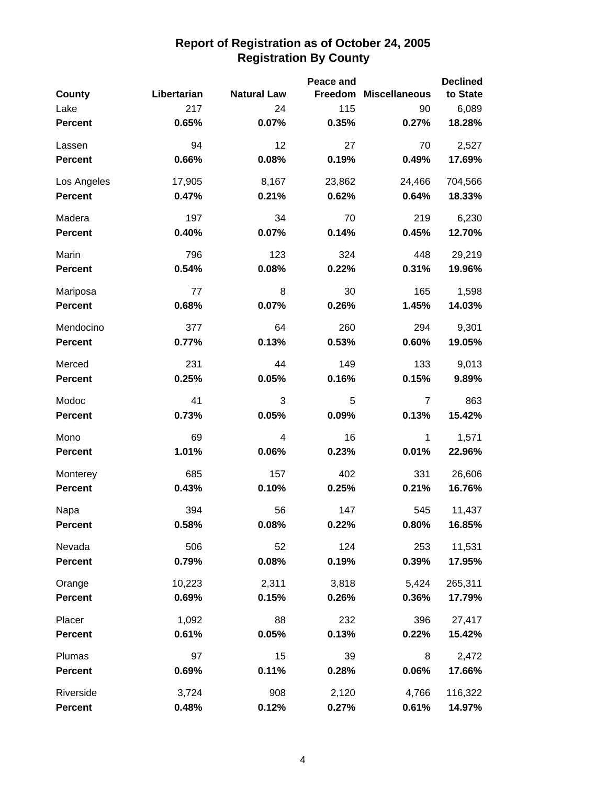|                |             |                    | Peace and |                       | <b>Declined</b> |
|----------------|-------------|--------------------|-----------|-----------------------|-----------------|
| County         | Libertarian | <b>Natural Law</b> |           | Freedom Miscellaneous | to State        |
| Lake           | 217         | 24                 | 115       | 90                    | 6,089           |
| <b>Percent</b> | 0.65%       | 0.07%              | 0.35%     | 0.27%                 | 18.28%          |
| Lassen         | 94          | 12                 | 27        | 70                    | 2,527           |
| <b>Percent</b> | 0.66%       | 0.08%              | 0.19%     | 0.49%                 | 17.69%          |
| Los Angeles    | 17,905      | 8,167              | 23,862    | 24,466                | 704,566         |
| <b>Percent</b> | 0.47%       | 0.21%              | 0.62%     | 0.64%                 | 18.33%          |
| Madera         | 197         | 34                 | 70        | 219                   | 6,230           |
| <b>Percent</b> | 0.40%       | 0.07%              | 0.14%     | 0.45%                 | 12.70%          |
| Marin          | 796         | 123                | 324       | 448                   | 29,219          |
| <b>Percent</b> | 0.54%       | 0.08%              | 0.22%     | 0.31%                 | 19.96%          |
| Mariposa       | 77          | 8                  | 30        | 165                   | 1,598           |
| <b>Percent</b> | 0.68%       | 0.07%              | 0.26%     | 1.45%                 | 14.03%          |
| Mendocino      | 377         | 64                 | 260       | 294                   | 9,301           |
| <b>Percent</b> | 0.77%       | 0.13%              | 0.53%     | 0.60%                 | 19.05%          |
| Merced         | 231         | 44                 | 149       | 133                   | 9,013           |
| <b>Percent</b> | 0.25%       | 0.05%              | 0.16%     | 0.15%                 | 9.89%           |
| Modoc          | 41          | 3                  | 5         | $\overline{7}$        | 863             |
| <b>Percent</b> | 0.73%       | 0.05%              | 0.09%     | 0.13%                 | 15.42%          |
| Mono           | 69          | 4                  | 16        | 1                     | 1,571           |
| <b>Percent</b> | 1.01%       | 0.06%              | 0.23%     | 0.01%                 | 22.96%          |
| Monterey       | 685         | 157                | 402       | 331                   | 26,606          |
| <b>Percent</b> | 0.43%       | 0.10%              | 0.25%     | 0.21%                 | 16.76%          |
| Napa           | 394         | 56                 | 147       | 545                   | 11,437          |
| <b>Percent</b> | 0.58%       | 0.08%              | 0.22%     | 0.80%                 | 16.85%          |
| Nevada         | 506         | 52                 | 124       | 253                   | 11,531          |
| <b>Percent</b> | 0.79%       | 0.08%              | 0.19%     | 0.39%                 | 17.95%          |
| Orange         | 10,223      | 2,311              | 3,818     | 5,424                 | 265,311         |
| <b>Percent</b> | 0.69%       | 0.15%              | 0.26%     | 0.36%                 | 17.79%          |
| Placer         | 1,092       | 88                 | 232       | 396                   | 27,417          |
| <b>Percent</b> | 0.61%       | 0.05%              | 0.13%     | 0.22%                 | 15.42%          |
| Plumas         | 97          | 15                 | 39        | 8                     | 2,472           |
| <b>Percent</b> | 0.69%       | 0.11%              | 0.28%     | 0.06%                 | 17.66%          |
| Riverside      | 3,724       | 908                | 2,120     | 4,766                 | 116,322         |
| <b>Percent</b> | 0.48%       | 0.12%              | 0.27%     | 0.61%                 | 14.97%          |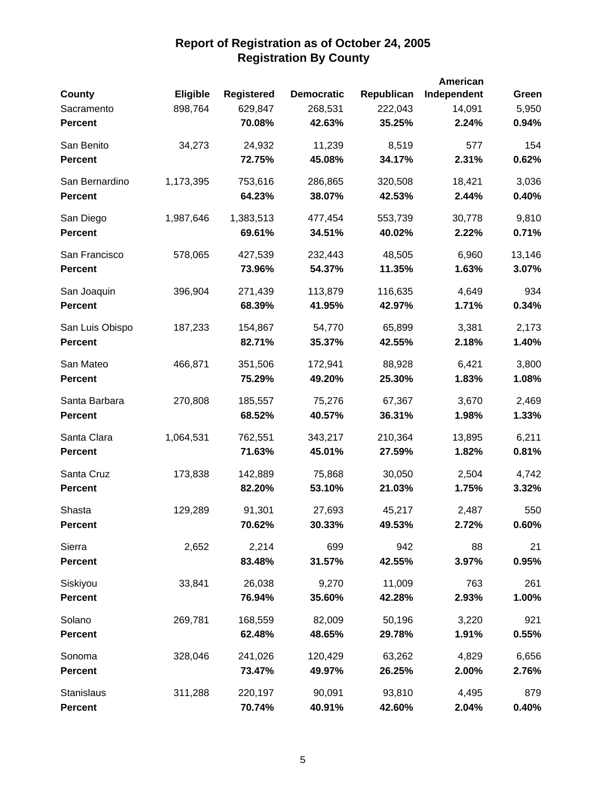|                 |                 |                   |                   |            | American    |        |
|-----------------|-----------------|-------------------|-------------------|------------|-------------|--------|
| County          | <b>Eligible</b> | <b>Registered</b> | <b>Democratic</b> | Republican | Independent | Green  |
| Sacramento      | 898,764         | 629,847           | 268,531           | 222,043    | 14,091      | 5,950  |
| <b>Percent</b>  |                 | 70.08%            | 42.63%            | 35.25%     | 2.24%       | 0.94%  |
| San Benito      | 34,273          | 24,932            | 11,239            | 8,519      | 577         | 154    |
| <b>Percent</b>  |                 | 72.75%            | 45.08%            | 34.17%     | 2.31%       | 0.62%  |
| San Bernardino  | 1,173,395       | 753,616           | 286,865           | 320,508    | 18,421      | 3,036  |
| <b>Percent</b>  |                 | 64.23%            | 38.07%            | 42.53%     | 2.44%       | 0.40%  |
| San Diego       | 1,987,646       | 1,383,513         | 477,454           | 553,739    | 30,778      | 9,810  |
| <b>Percent</b>  |                 | 69.61%            | 34.51%            | 40.02%     | 2.22%       | 0.71%  |
| San Francisco   | 578,065         | 427,539           | 232,443           | 48,505     | 6,960       | 13,146 |
| <b>Percent</b>  |                 | 73.96%            | 54.37%            | 11.35%     | 1.63%       | 3.07%  |
| San Joaquin     | 396,904         | 271,439           | 113,879           | 116,635    | 4,649       | 934    |
| <b>Percent</b>  |                 | 68.39%            | 41.95%            | 42.97%     | 1.71%       | 0.34%  |
| San Luis Obispo | 187,233         | 154,867           | 54,770            | 65,899     | 3,381       | 2,173  |
| <b>Percent</b>  |                 | 82.71%            | 35.37%            | 42.55%     | 2.18%       | 1.40%  |
| San Mateo       | 466,871         | 351,506           | 172,941           | 88,928     | 6,421       | 3,800  |
| <b>Percent</b>  |                 | 75.29%            | 49.20%            | 25.30%     | 1.83%       | 1.08%  |
| Santa Barbara   | 270,808         | 185,557           | 75,276            | 67,367     | 3,670       | 2,469  |
| <b>Percent</b>  |                 | 68.52%            | 40.57%            | 36.31%     | 1.98%       | 1.33%  |
| Santa Clara     | 1,064,531       | 762,551           | 343,217           | 210,364    | 13,895      | 6,211  |
| <b>Percent</b>  |                 | 71.63%            | 45.01%            | 27.59%     | 1.82%       | 0.81%  |
| Santa Cruz      | 173,838         | 142,889           | 75,868            | 30,050     | 2,504       | 4,742  |
| <b>Percent</b>  |                 | 82.20%            | 53.10%            | 21.03%     | 1.75%       | 3.32%  |
| Shasta          | 129,289         | 91,301            | 27,693            | 45,217     | 2,487       | 550    |
| <b>Percent</b>  |                 | 70.62%            | 30.33%            | 49.53%     | 2.72%       | 0.60%  |
| Sierra          | 2,652           | 2,214             | 699               | 942        | 88          | 21     |
| <b>Percent</b>  |                 | 83.48%            | 31.57%            | 42.55%     | 3.97%       | 0.95%  |
| Siskiyou        | 33,841          | 26,038            | 9,270             | 11,009     | 763         | 261    |
| <b>Percent</b>  |                 | 76.94%            | 35.60%            | 42.28%     | 2.93%       | 1.00%  |
| Solano          | 269,781         | 168,559           | 82,009            | 50,196     | 3,220       | 921    |
| <b>Percent</b>  |                 | 62.48%            | 48.65%            | 29.78%     | 1.91%       | 0.55%  |
| Sonoma          | 328,046         | 241,026           | 120,429           | 63,262     | 4,829       | 6,656  |
| <b>Percent</b>  |                 | 73.47%            | 49.97%            | 26.25%     | 2.00%       | 2.76%  |
| Stanislaus      | 311,288         | 220,197           | 90,091            | 93,810     | 4,495       | 879    |
| <b>Percent</b>  |                 | 70.74%            | 40.91%            | 42.60%     | 2.04%       | 0.40%  |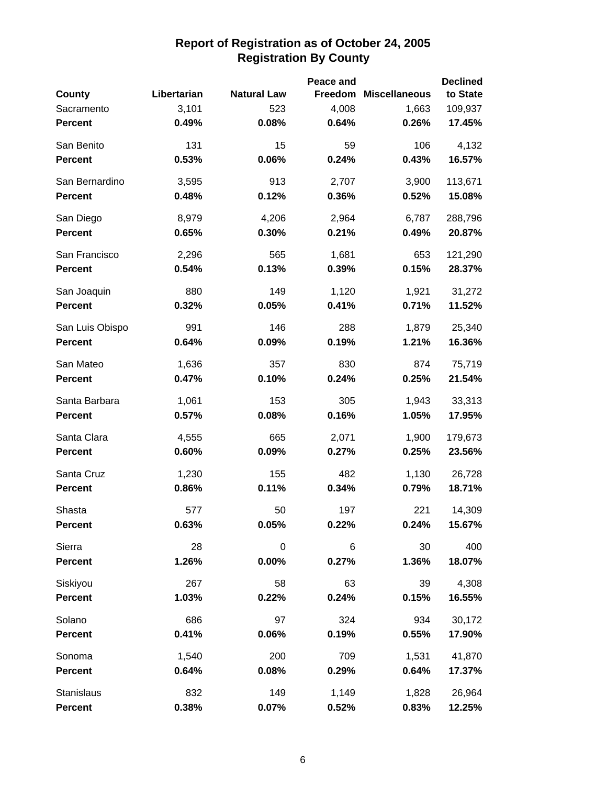|                 |             |                    | Peace and |                       | <b>Declined</b> |
|-----------------|-------------|--------------------|-----------|-----------------------|-----------------|
| County          | Libertarian | <b>Natural Law</b> |           | Freedom Miscellaneous | to State        |
| Sacramento      | 3,101       | 523                | 4,008     | 1,663                 | 109,937         |
| <b>Percent</b>  | 0.49%       | 0.08%              | 0.64%     | 0.26%                 | 17.45%          |
| San Benito      | 131         | 15                 | 59        | 106                   | 4,132           |
| <b>Percent</b>  | 0.53%       | 0.06%              | 0.24%     | 0.43%                 | 16.57%          |
| San Bernardino  | 3,595       | 913                | 2,707     | 3,900                 | 113,671         |
| <b>Percent</b>  | 0.48%       | 0.12%              | 0.36%     | 0.52%                 | 15.08%          |
| San Diego       | 8,979       | 4,206              | 2,964     | 6,787                 | 288,796         |
| <b>Percent</b>  | 0.65%       | 0.30%              | 0.21%     | 0.49%                 | 20.87%          |
| San Francisco   | 2,296       | 565                | 1,681     | 653                   | 121,290         |
| <b>Percent</b>  | 0.54%       | 0.13%              | 0.39%     | 0.15%                 | 28.37%          |
| San Joaquin     | 880         | 149                | 1,120     | 1,921                 | 31,272          |
| <b>Percent</b>  | 0.32%       | 0.05%              | 0.41%     | 0.71%                 | 11.52%          |
| San Luis Obispo | 991         | 146                | 288       | 1,879                 | 25,340          |
| <b>Percent</b>  | 0.64%       | 0.09%              | 0.19%     | 1.21%                 | 16.36%          |
| San Mateo       | 1,636       | 357                | 830       | 874                   | 75,719          |
| <b>Percent</b>  | 0.47%       | 0.10%              | 0.24%     | 0.25%                 | 21.54%          |
| Santa Barbara   | 1,061       | 153                | 305       | 1,943                 | 33,313          |
| <b>Percent</b>  | 0.57%       | 0.08%              | 0.16%     | 1.05%                 | 17.95%          |
| Santa Clara     | 4,555       | 665                | 2,071     | 1,900                 | 179,673         |
| <b>Percent</b>  | 0.60%       | 0.09%              | 0.27%     | 0.25%                 | 23.56%          |
| Santa Cruz      | 1,230       | 155                | 482       | 1,130                 | 26,728          |
| <b>Percent</b>  | 0.86%       | 0.11%              | 0.34%     | 0.79%                 | 18.71%          |
| Shasta          | 577         | 50                 | 197       | 221                   | 14,309          |
| <b>Percent</b>  | 0.63%       | 0.05%              | 0.22%     | 0.24%                 | 15.67%          |
| Sierra          | 28          | $\mathbf 0$        | $\,6\,$   | 30                    | 400             |
| Percent         | 1.26%       | $0.00\%$           | 0.27%     | 1.36%                 | 18.07%          |
| Siskiyou        | 267         | 58                 | 63        | 39                    | 4,308           |
| <b>Percent</b>  | 1.03%       | 0.22%              | 0.24%     | 0.15%                 | 16.55%          |
| Solano          | 686         | 97                 | 324       | 934                   | 30,172          |
| <b>Percent</b>  | 0.41%       | 0.06%              | 0.19%     | 0.55%                 | 17.90%          |
| Sonoma          | 1,540       | 200                | 709       | 1,531                 | 41,870          |
| <b>Percent</b>  | 0.64%       | 0.08%              | 0.29%     | 0.64%                 | 17.37%          |
| Stanislaus      | 832         | 149                | 1,149     | 1,828                 | 26,964          |
| Percent         | 0.38%       | 0.07%              | 0.52%     | 0.83%                 | 12.25%          |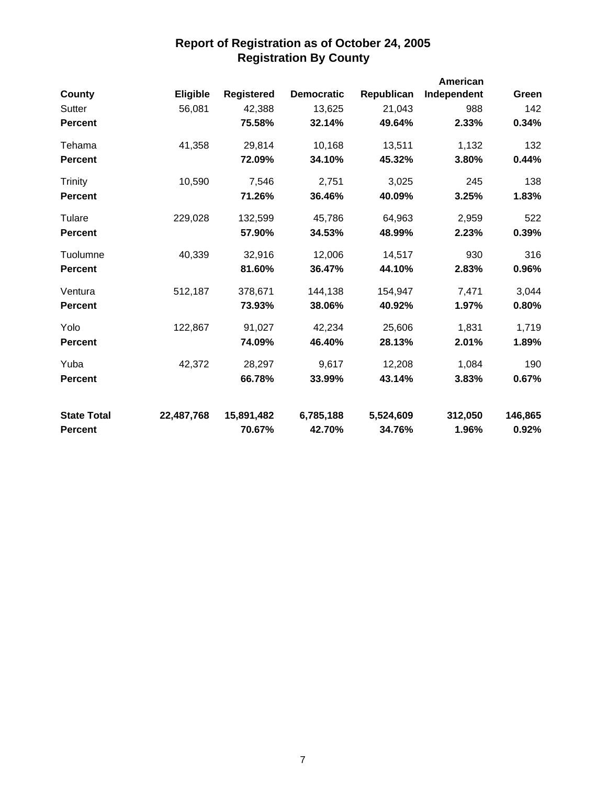|                    |            |                   |                   |            | American    |         |
|--------------------|------------|-------------------|-------------------|------------|-------------|---------|
| <b>County</b>      | Eligible   | <b>Registered</b> | <b>Democratic</b> | Republican | Independent | Green   |
| Sutter             | 56,081     | 42,388            | 13,625            | 21,043     | 988         | 142     |
| <b>Percent</b>     |            | 75.58%            | 32.14%            | 49.64%     | 2.33%       | 0.34%   |
| Tehama             | 41,358     | 29,814            | 10,168            | 13,511     | 1,132       | 132     |
| <b>Percent</b>     |            | 72.09%            | 34.10%            | 45.32%     | 3.80%       | 0.44%   |
| Trinity            | 10,590     | 7,546             | 2,751             | 3,025      | 245         | 138     |
| <b>Percent</b>     |            | 71.26%            | 36.46%            | 40.09%     | 3.25%       | 1.83%   |
| Tulare             | 229,028    | 132,599           | 45,786            | 64,963     | 2,959       | 522     |
| <b>Percent</b>     |            | 57.90%            | 34.53%            | 48.99%     | 2.23%       | 0.39%   |
| Tuolumne           | 40,339     | 32,916            | 12,006            | 14,517     | 930         | 316     |
| <b>Percent</b>     |            | 81.60%            | 36.47%            | 44.10%     | 2.83%       | 0.96%   |
| Ventura            | 512,187    | 378,671           | 144,138           | 154,947    | 7,471       | 3,044   |
| <b>Percent</b>     |            | 73.93%            | 38.06%            | 40.92%     | 1.97%       | 0.80%   |
| Yolo               | 122,867    | 91,027            | 42,234            | 25,606     | 1,831       | 1,719   |
| <b>Percent</b>     |            | 74.09%            | 46.40%            | 28.13%     | 2.01%       | 1.89%   |
| Yuba               | 42,372     | 28,297            | 9,617             | 12,208     | 1,084       | 190     |
| <b>Percent</b>     |            | 66.78%            | 33.99%            | 43.14%     | 3.83%       | 0.67%   |
| <b>State Total</b> | 22,487,768 | 15,891,482        | 6,785,188         | 5,524,609  | 312,050     | 146,865 |
| <b>Percent</b>     |            | 70.67%            | 42.70%            | 34.76%     | 1.96%       | 0.92%   |